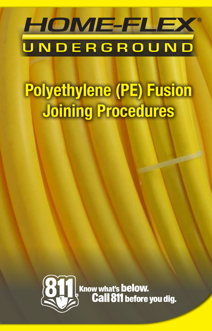

# **Polyethylene (PE) Fusion Joining Procedures**



**Know what's below.<br>Gall 811 before you dig.**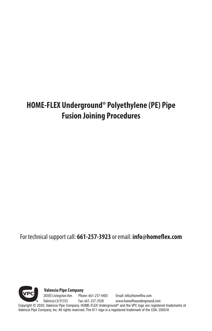# **HOME-FLEX Underground® Polyethylene (PE) Pipe Fusion Joining Procedures**

For technical support call: **661-257-3923** or email: **info@homeflex.com**

 **Valencia Pipe Company** 28305 Livingston Ave. Phone: 661-257-4403 Email: info@homeflex.com Valencia CA 91355 Fax: 661-257-3928 www.homeflexunderground.com Copyright © 2020, Valencia Pipe Company. HOME-FLEX Underground® and the VPC logo are registered trademarks of Valencia Pipe Company, Inc. All rights reserved. The 811 logo is a registered trademark of the CGA. 2005/A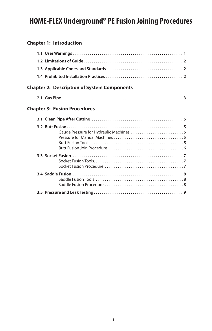# **HOME-FLEX Underground® PE Fusion Joining Procedures**

#### **Chapter 1: [Introduction](#page-3-0)**

|  | <b>Chapter 2: Description of System Components</b> |  |
|--|----------------------------------------------------|--|
|  |                                                    |  |
|  | <b>Chapter 3: Fusion Procedures</b>                |  |
|  |                                                    |  |
|  |                                                    |  |
|  |                                                    |  |
|  |                                                    |  |
|  |                                                    |  |
|  |                                                    |  |
|  |                                                    |  |
|  |                                                    |  |
|  |                                                    |  |
|  |                                                    |  |
|  |                                                    |  |

[Saddle Fusion Procedure . . . . . . . . . . . . . . . . . . . . . . . . . . . . . . . . . . . . . . . . . .](#page-10-0) **8**

**3.5 [Pressure and Leak Testing](#page-11-0) . . 9**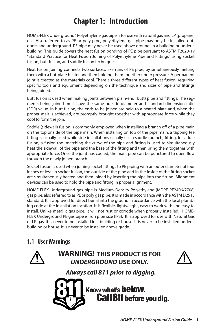# **Chapter 1: Introduction**

<span id="page-3-0"></span>HOME-FLEX Underground® Polyethylene gas pipe is for use with natural gas and LP (propane) gas. Also referred to as PE or poly pipe, polyethylene gas pipe may only be installed outdoors and underground. PE pipe may never be used above ground, in a building or under a building. This guide covers the heat fusion bonding of PE pipe pursuant to ASTM F2620-19 "Standard Practice for Heat Fusion Joining of Polyethylene Pipe and Fittings" using socket fusion, butt fusion, and saddle fusion techniques.

Heat fusion joining connects two surfaces, like runs of PE pipe, by simultaneously melting them with a hot-plate heater and then holding them together under pressure. A permanent joint is created as the materials cool. There a three different types of heat fusion, requiring specific tools and equipment depending on the technique and sizes of pipe and fittings being joined.

Butt fusion is used when making joints between plain-end (butt) pipe and fittings. The segments being joined must have the same outside diameter and standard dimension ratio (SDR) value. In butt fusion, the ends to be joined are held to a heated plate and, when the proper melt is achieved, are promptly brought together with appropriate force while they cool to form the join.

Saddle (sidewall) fusion is commonly employed when installing a branch off of a pipe main on the top or side of the pipe main. When installing on top of the pipe main, a tapping tee fitting is usually used while side installations usually use a saddle (branch) fitting. In saddle fusion, a fusion tool matching the curve of the pipe and fitting is used to simultaneously heat the sidewall of the pipe and the base of the fitting and then bring them together with appropriate force. Once the joint has cooled, the main pipe can be punctured to open flow through the newly joined branch.

Socket fusion is used when joining socket fittings to PE piping with an outer diameter of four inches or less. In socket fusion, the outside of the pipe and in the inside of the fitting socket are simultaneously heated and then joined by inserting the pipe into the fitting. Alignment devices can be used to hold the pipe and fitting in proper alignment.

HOME-FLEX Underground gas pipe is Medium Density Polyethylene (MDPE PE2406/2708) gas pipe, also referred to as PE or poly gas pipe. It is made in accordance with the ASTM D2513 standard. It is approved for direct burial into the ground in accordance with the local plumbing code at the installation location. It is flexible, lightweight, easy to work with and easy to install. Unlike metallic gas pipe, it will not rust or corrode when properly installed. HOME-FLEX Underground PE gas pipe is iron pipe size (IPS). It is approved for use with Natural Gas or LP gas. It is never to be installed in a building or house. It is never to be installed under a building or house. It is never to be installed above grade.

### **1.1 User Warnings**



**WARNING! THIS PRODUCT IS FOR**  *UNDERGROUND* **USE ONLY.**



*Always call 811 prior to digging.*

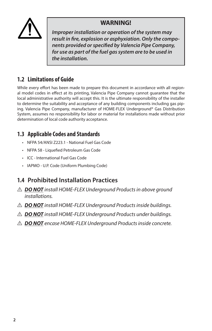

<span id="page-4-0"></span>

*Improper installation or operation of the system may result in fire, explosion or asphyxiation. Only the components provided or specified by Valencia Pipe Company, for use as part of the fuel gas system are to be used in the installation.*

# **1.2 Limitations of Guide**

While every effort has been made to prepare this document in accordance with all regional model codes in effect at its printing, Valencia Pipe Company cannot guarantee that the local administrative authority will accept this. It is the ultimate responsibility of the installer to determine the suitability and acceptance of any building components including gas piping. Valencia Pipe Company, manufacturer of HOME-FLEX Underground® Gas Distribution System, assumes no responsibility for labor or material for installations made without prior determination of local code authority acceptance.

# **1.3 Applicable Codes and Standards**

- NFPA 54/ANSI Z223.1 National Fuel Gas Code
- NFPA 58 Liquefied Petroleum Gas Code
- ICC International Fuel Gas Code
- IAPMO U.P. Code (Uniform Plumbing Code)

# **1.4 Prohibited Installation Practices**

- $\triangle$  **DO NOT** install HOME-FLEX Underground Products in above ground *installations.*
- $\triangle$  **DO NOT** install HOME-FLEX Underground Products inside buildings.
- $\triangle$  **DO NOT** install HOME-FLEX Underground Products under buildings.
- $\triangle$  **DO NOT** encase HOME-FLEX Underground Products inside concrete.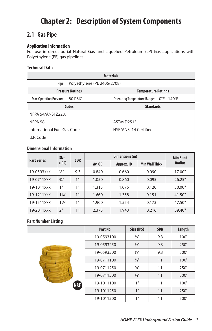# **Chapter 2: Description of System Components**

## <span id="page-5-0"></span>**2.1 Gas Pipe**

#### **Application Information**

For use in direct burial Natural Gas and Liquefied Petroleum (LP) Gas applications with Polyethylene (PE) gas pipelines.

#### **Technical Data**

| <b>Materials</b>                     |                                          |  |  |  |  |  |
|--------------------------------------|------------------------------------------|--|--|--|--|--|
| Polyethylene (PE 2406/2708)<br>Pipe: |                                          |  |  |  |  |  |
| <b>Pressure Ratings</b>              | <b>Temperature Ratings</b>               |  |  |  |  |  |
| Max Operating Pressure: 80 PSIG      | Operating Temperature Range: O°F - 140°F |  |  |  |  |  |
| Codes                                | <b>Standards</b>                         |  |  |  |  |  |
| NFPA 54/ANSI Z223.1                  |                                          |  |  |  |  |  |
| NFPA 58                              | <b>ASTM D2513</b>                        |  |  |  |  |  |
| International Fuel Gas Code          | NSF/ANSI 14 Certified                    |  |  |  |  |  |
| U.P. Code                            |                                          |  |  |  |  |  |

#### **Dimensional Information**

| <b>Part Series</b> | <b>Size</b><br>(IPS) | <b>SDR</b> |        | <b>Min Bend</b> |                       |               |
|--------------------|----------------------|------------|--------|-----------------|-----------------------|---------------|
|                    |                      |            | Av. OD | Approx. ID      | <b>Min Wall Thick</b> | <b>Radius</b> |
| 19-0593XXX         | $\frac{1}{2}$ "      | 9.3        | 0.840  | 0.660           | 0.090                 | 17.00"        |
| 19-0711xxx         | $3/4$ "              | 11         | 1.050  | 0.860           | 0.095                 | 26.25"        |
| 19-1011XXX         | 1"                   | 11         | 1.315  | 1.075           | 0.120                 | 30.00"        |
| 19-1211XXX         | $1\frac{1}{4}$       | 11         | 1.660  | 1.358           | 0.151                 | 41.50"        |
| 19-1511XXX         | $1\frac{1}{2}$ "     | 11         | 1.900  | 1.554           | 0.173                 | 47.50"        |
| 19-2011XXX         | 2"                   | 11         | 2.375  | 1.943           | 0.216                 | 59.40"        |

#### **Part Number Listing**

|            | Part No.   | Size (IPS)          | <b>SDR</b> | Length |
|------------|------------|---------------------|------------|--------|
|            | 19-0593100 | $\frac{1}{2}$ "     | 9.3        | 100'   |
|            | 19-0593250 | $\frac{1}{2}$ "     | 9.3        | 250'   |
|            | 19-0593500 | $\frac{1}{2}$ "     | 9.3        | 500'   |
|            | 19-0711100 | $\frac{3}{4}$ "     | 11         | 100'   |
|            | 19-0711250 | $\frac{3}{4}$ "     | 11         | 250'   |
|            | 19-0711500 | $3/4$ <sup>11</sup> | 11         | 500'   |
| <b>NSE</b> | 19-1011100 | 1 <sup>11</sup>     | 11         | 100'   |
|            | 19-1011250 | 1"                  | 11         | 250'   |
|            | 19-1011500 | 1                   | 11         | 500'   |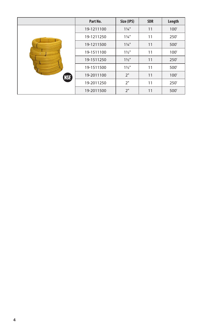|       | Part No.   | Size (IPS)     | <b>SDR</b> | Length |
|-------|------------|----------------|------------|--------|
|       | 19-1211100 | $1\frac{1}{4}$ | 11         | 100'   |
|       | 19-1211250 | $1\frac{1}{4}$ | 11         | 250'   |
|       | 19-1211500 | $1\frac{1}{4}$ | 11         | 500'   |
|       | 19-1511100 | $1\frac{1}{2}$ | 11         | 100'   |
|       | 19-1511250 | $1\frac{1}{2}$ | 11         | 250'   |
|       | 19-1511500 | $1\frac{1}{2}$ | 11         | 500'   |
| (NSE) | 19-2011100 | 2"             | 11         | 100'   |
|       | 19-2011250 | 2"             | 11         | 250'   |
|       | 19-2011500 | 2"             | 11         | 500'   |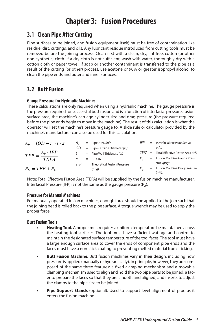# **Chapter 3: Fusion Procedures**

## <span id="page-7-0"></span>**3.1 Clean Pipe After Cutting**

Pipe surfaces to be joined, and fusion equipment itself, must be free of contamination like residue, dirt, cuttings, and oils. Any lubricant residue introduced from cutting tools must be removed before the joining process. Clean first with a clean, dry, lint-free, cotton (or other non-synthetic) cloth. If a dry cloth is not sufficient, wash with water, thoroughly dry with a cotton cloth or paper towel. If soap or another contaminant is transferred to the pipe as a result of the cutting (or other) process, use acetone or 90% or greater isopropyl alcohol to clean the pipe ends and outer and inner surfaces.

## **3.2 Butt Fusion**

### $Gauge$  Pressure for Hydraulic Machines

These calculations are only required when using a hydraulic machine. The gauge pressure is Inese calculations are only required when using a hydraulic machine. The gauge pressure is the pressure required for successful butt fusion and is a function of interfacial pressure, fusion surface area, the machine's carriage cylinder size and drag pressure (the pressure required surface area, the machine's carriage cylinder size and drag pressure (the pressure required before the pipe ends begin to move in the machine). The result of this calculation is what the before the pipe ends begin to move in the machine). The result of this calculation is what the operator will set the machine's pressure gauge to. A slide rule or calculator provided by the machine's manufacturer can also be used for this calculation.

| $A_p = (OD - t) \cdot t \cdot \pi$ | $A_{n}$    | $=$ Pipe Area (in <sup>2</sup> ) | IFP | $=$ Interfacial Pressure (60-90                         |
|------------------------------------|------------|----------------------------------|-----|---------------------------------------------------------|
|                                    | 0D.        | $=$ Pipe Outside Diameter (in)   |     | psia)                                                   |
| $TFP = \frac{A_P \cdot IFP}{I}$    |            | $=$ Pipe Wall Thickness (in)     |     | $TEPA =$ Total Effective Piston Area (in <sup>2</sup> ) |
| <b>TEPA</b>                        | $\pi$      | $=$ 3.1416                       |     | = Fusion Machine Gauge Pres-                            |
|                                    | <b>TFP</b> | $=$ Theoretical Fusion Pressure  |     | sure ( <i>psig</i> )                                    |
| $P_G = TFP + P_D$                  |            | (psig)                           |     | = Fusion Machine Drag Pressure<br>(psig)                |

Note: Total Effective Piston Area (TEPA) will be supplied by the fusion machine manufacturer. Interfacial Pressure (IFP) is not the same as the gauge pressure  $(P<sub>c</sub>)$ .

# **Pressure for Manual Machines**

For manually operated fusion machines, enough force should be applied to the join such that the joining bead is rolled back to the pipe surface. A torque wrench may be used to apply the proper force. proper force. *At*

## **Butt Fusion Tools**

- **• Heating Tool.** A proper melt requires a uniform temperature be maintained across the heating tool surfaces. The tool must have sufficient wattage and control to maintain the designated surface temperature of the tool faces. The tool must have a large enough surface area to cover the ends of component pipe ends and the faces must have a non-stick coating to preventing melted material from sticking.
- **• Butt Fusion Machine.** Butt fusion machines vary in their design, including how pressure is applied (manually or hydraulically). In principle, however, they are composed of the same three features: a fixed clamping mechanism and a movable clamping mechanism used to align and hold the two pipe parts to be joined; a facer to prepare the faces so that they are smooth and aligned; and inserts to adjust the clamps to the pipe size to be joined.
- **• Pipe Support Stands** (optional). Used to support level alignment of pipe as it enters the fusion machine.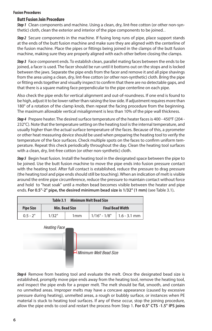#### <span id="page-8-0"></span>**Fusion Procedures**

#### **Butt Fusion Join Procedure**

*Step 1* Clean components and machine. Using a clean, dry, lint-free cotton (or other non-synthetic) cloth, clean the exterior and interior of the pipe components to be joined. *.*

*Step 2* Secure components in the machine. If fusing long runs of pipe, place support stands at the ends of the butt fusion machine and make sure they are aligned with the centerline of the fusion machine. Place the pipes or fittings being joined in the clamps of the butt fusion machine, making sure they are properly aligned with each other before closing the clamps.

*Step 3* Face component ends. To establish clean, parallel mating faces between the ends to be joined, a facer is used. The facer should be run until it bottoms out on the stops and is locked between the jaws. Separate the pipe ends from the facer and remove it and all pipe shavings from the area using a clean, dry, lint-free cotton (or other non-synthetic) cloth. Bring the pipe or fitting ends together and visually inspect to confirm that there are no detectable gaps, and that there is a square mating face perpendicular to the pipe centerline on each pipe.

Also check the pipe ends for vertical alignment and out-of-roundness. If one end is found to be high, adjust it to be lower rather than raising the low side. If adjustment requires more than 180° of a rotation of the clamp knob, then repeat the facing procedure from the beginning. The maximum allowable vertical misalignment is less than 10% of the pipe wall thickness.

*Step 4* Prepare heater. The desired surface temperature of the heater faces is 400 - 450°F (204 - 232°C). Note that the temperature setting on the heating tool is the internal temperature, and usually higher than the actual surface temperature of the faces. Because of this, a pyrometer or other heat measuring device should be used when preparing the heating tool to verify the temperature of the face surfaces. Check multiple spots on the faces to confirm uniform temperature. Repeat this check periodically throughout the day. Clean the heating tool surfaces with a clean, dry, lint-free cotton (or other non-synthetic) cloth.

*Step 5* Begin heat fusion. Install the heating tool in the designated space between the pipe to be joined. Use the butt fusion machine to move the pipe ends into fusion pressure contact with the heating tool. After full contact is established, reduce the pressure to drag pressure (the heating tool and pipe ends should still be touching). When an indication of melt is visible around the entire pipe circumference, reduce the pressure to maintain contact without force and hold to "heat soak" until a molten bead becomes visible between the heater and pipe ends. **For 0.5"-2" pipe, the desired minimum bead size is 1/32" (1 mm)** (see [Table 3.1\)](#page-8-1)**.**

<span id="page-8-1"></span>

| <b>Minimum Melt Bead Size</b><br>Table 3.1 |       |                       |                         |                |  |  |
|--------------------------------------------|-------|-----------------------|-------------------------|----------------|--|--|
| <b>Pipe Size</b>                           |       | <b>Min. Bead Size</b> | <b>Final Bead Width</b> |                |  |  |
| $0.5 - 2"$                                 | 1/32" | 1mm                   | $1/16" - 1/8"$          | $1.6 - 3.1$ mm |  |  |



*Step 6* Remove from heating tool and evaluate the melt. Once the designated bead size is established, promptly move pipe ends away from the heating tool, remove the heating tool, and inspect the pipe ends for a proper melt. The melt should be flat, smooth, and contain no unmelted areas. Improper melts may have a concave appearance (caused by excessive pressure during heating), unmelted areas, a rough or bubbly surface, or instances when PE material is stuck to heating tool surfaces. If any of these occur, stop the joining procedure, allow the pipe ends to cool and restart the process from Step 1. **For 0.5" CTS -1.5" IPS joins**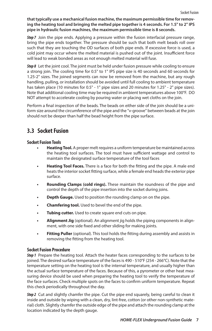<span id="page-9-0"></span>**that typically use a mechanical fusion machine, the maximum permissible time for removing the heating tool and bringing the melted pipe together is 4 seconds. For 1.5" to 2" IPS pipe in hydraulic fusion machines, the maximum permissible time is 8 seconds.**

*Step 7* Join the pipe ends. Applying a pressure within the fusion interfacial pressure range, bring the pipe ends together. The pressure should be such that both melt beads roll over such that they are touching the OD surfaces of both pipe ends. If excessive force is used, a cold joint may occur where the melted material is pushed out of the joint. Insufficient force will lead to weak bonded areas as not enough melted material will fuse.

*Step 8* Let the joint cool. The joint must be held under fusion pressure while cooling to ensure a strong join. The cooling time for 0.5" to 1" IPS pipe size is 40 seconds and 60 seconds for 1.25-2" sizes. The joined segments can now be removed from the machine, but any rough handling, pulling, or installation should be avoided until full cooling to ambient temperature has taken place (10 minutes for 0.5" - 1" pipe sizes and 20 minutes for 1.25" - 2" pipe sizes). Note that additional cooling time may be required in ambient temperatures above 100°F. DO NOT attempt to accelerate cooling by pouring water or placing wet cloths on the join.

Perform a final inspection of the beads. The beads on either side of the join should be a uniform size around the circumference of the pipe and the "v-groove" between beads at the join should not be deeper than half the bead height from the pipe surface.

## **3.3 Socket Fusion**

#### **Socket Fusion Tools**

- **• Heating Tool.** A proper melt requires a uniform temperature be maintained across the heating tool surfaces. The tool must have sufficient wattage and control to maintain the designated surface temperature of the tool faces
- **• Heating Tool Faces.** There is a face for both the fitting and the pipe. A male end heats the interior socket fitting surface, while a female end heads the exterior pipe surface.
- **• Rounding Clamps (cold rings).** These maintain the roundness of the pipe and control the depth of the pipe insertion into the socket during joins.
- **• Depth Gauge.** Used to position the rounding clamp on on the pipe.
- **• Chamfering tool.** Used to bevel the end of the pipe.
- **• Tubing cutter.** Used to create square end cuts on pipe.
- **• Alignment Jig** (optional). An alignment jig holds the piping components in alignment, with one side fixed and other sliding for making joints.
- **• Fitting Puller** (optional). This tool holds the fitting during assembly and assists in removing the fitting from the heating tool.

#### **Socket Fusion Procedure**

*Step 1* Prepare the heating tool. Attach the heater faces corresponding to the surfaces to be joined. The desired surface temperature of the faces is 490 - 510°F (254 - 266°C). Note that the temperature setting on the heating tool is the internal temperature, and usually higher than the actual surface temperature of the faces. Because of this, a pyrometer or other heat measuring device should be used when preparing the heating tool to verify the temperature of the face surfaces. Check multiple spots on the faces to confirm uniform temperature. Repeat this check periodically throughout the day.

*Step 2* Cut and slightly chamfer the pipe. Cut the pipe end squarely, being careful to clean it inside and outside by wiping with a clean, dry, lint-free, cotton (or other non-synthetic material) cloth. Slightly chamfer the outside edge of the pipe and attach the rounding clamp at the location indicated by the depth gauge.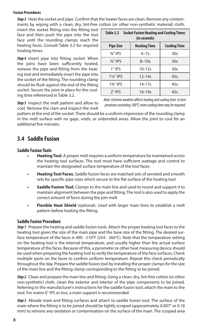#### <span id="page-10-0"></span>**Fusion Procedures**

*Step 3* Heat the socket and pipe. Confirm that the heater faces are clean. Remove any contaminants by wiping with a clean, dry, lint-free cotton (or other non-synthetic material) cloth.

Insert the socket fitting into the fitting tool face and then push the pipe into the tool face until the rounding clamps reach the heating faces. Consult [Table 3.2](#page-10-1) for required heating times.

*Step 4* Insert pipe into fitting socket. When the joins have been sufficiently heated, remove the pipe and fitting from the heating tool and immediately insert the pipe into the socket of the fitting. The rounding clamp should be flush against the end of the fitting socket. Secure the joint in place for the cooling time referenced in [Table 3.2](#page-10-1).

<span id="page-10-1"></span>

| Table 3.2<br><b>Socket Fusion Heating and Cooling Times</b><br>(in seconds) |                     |                     |  |  |  |  |  |
|-----------------------------------------------------------------------------|---------------------|---------------------|--|--|--|--|--|
| <b>Pipe Size</b>                                                            | <b>Heating Time</b> | <b>Cooling Time</b> |  |  |  |  |  |
| $1/2$ " IPS                                                                 | $6 - 7s$            | 30s                 |  |  |  |  |  |
| 3/4" IPS                                                                    | $8 - 10s$           | 30s                 |  |  |  |  |  |
| $1"$ IPS                                                                    | $10 - 12s$          | 30s                 |  |  |  |  |  |
| 11/ <sub>4</sub> " IPS                                                      | $12 - 14s$          | 45s                 |  |  |  |  |  |
| <b>11/2" IPS</b>                                                            | $14 - 17s$          | 45s                 |  |  |  |  |  |
| $2"$ IPS                                                                    | $16 - 19s$          | 45s                 |  |  |  |  |  |

*Step 5* Inspect the melt pattern and allow to cool. Remove the clam and inspect the melt *Note: Extreme weather affects heating and cooling time. In temperatures exceeding 100°F, more cooling time may be required.*

pattern at the end of the socket. There should be a uniform impression of the rounding clamp in the melt surface with no gaps, voids, or unbonded areas. Allow the joint to cool for an additional five minutes.

# **3.4 Saddle Fusion**

#### **Saddle Fusion Tools**

- **• Heating Tool.** A proper melt requires a uniform temperature be maintained across the heating tool surfaces. The tool must have sufficient wattage and control to maintain the designated surface temperature of the tool faces
- **• Heating Tool Faces.** Saddle fusion faces are matched sets of serrated and smooth sets for specific pipe sizes which secure to the flat surface of the heating tool.
- **• Saddle Fusion Tool.** Clamps to the main line and used to round and support it to maintain alignment between the pipe and fitting. The tool is also used to apply the correct amount of force during the join melt.
- **• Flexible Heat Shield** (optional). Used with larger main lines to establish a melt pattern before heating the fitting.

#### **Saddle Fusion Procedure**

*Step 1* Prepare the heating and saddle fusion tools. Attach the proper heating tool faces to the heating tool given the size of the main pipe and the base size of the fitting. The desired surface temperature of the faces is 490 - 510°F (254 - 266°C). Note that the temperature setting on the heating tool is the internal temperature, and usually higher than the actual surface temperature of the faces. Because of this, a pyrometer or other heat measuring device should be used when preparing the heating tool to verify the temperature of the face surfaces. Check multiple spots on the faces to confirm uniform temperature. Repeat this check periodically throughout the day. Prepare the saddle fusion tool by installing the proper clamps for the size of the main line and the fitting clamp corresponding to the fitting to be joined.

**Step 2** Clean and prepare the main line and fitting. Using a clean, dry, lint-free cotton (or other non-synthetic) cloth, clean the exterior and interior of the pipe components to be joined. Referring to the manufacturer's instructions for the saddle fusion tool, attach the main to the tool. For mains 6" IPS or less, a main support is recommended.

*Step 3* Abrade main and fitting surfaces and attach to saddle fusion tool. The surface of the main where the fitting is to be joined should be lightly scraped (approximately 0.007" or 0.18 mm) to remove any oxidation or contamination on the surface of the main. The scraped area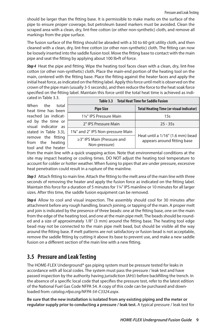<span id="page-11-0"></span>should be larger than the fitting base. It is permissible to make marks on the surface of the pipe to ensure proper coverage, but petroleum based markers must be avoided. Clean the scraped area with a clean, dry, lint-free cotton (or other non-synthetic) cloth, and remove all markings from the pipe surface.

The fusion surface of the fitting should be abraded with a 50 to 60 grit utility cloth, and then cleaned with a clean, dry, lint-free cotton (or other non-synthetic) cloth. The fitting can now be loosely inserted into the saddle fusion tool. Move the fitting base to contact with the main pipe and seat the fitting by applying about 100 lb•ft of force.

*Step 4* Heat the pipe and fitting. Wipe the heating tool faces clean with a clean, dry, lint-free cotton (or other non-synthetic) cloth. Place the main-end portion of the heating tool on the main, centered with the fitting base. Place the fitting against the heater faces and apply the initial heat force, as indicated on the fitting label. Apply this force until melt is observed on the crown of the pipe main (usually 3-5 seconds), and then reduce the force to the heat soak force specified on the fitting label. Maintain this force until the total heat time is achieved as indi-

cated in [Table 3.3.](#page-11-1)

When the total heat time has been reached (as indicated by the time or visual indicator as stated in [Table 3.3\)](#page-11-1), remove the fitting from the heating tool and the heater

<span id="page-11-1"></span>

| <b>Total Heat Time for Saddle Fusion</b><br>Table 3.3 |                                                                 |  |  |  |  |
|-------------------------------------------------------|-----------------------------------------------------------------|--|--|--|--|
| <b>Pipe Size</b>                                      | <b>Total Heating Time (or visual indicator)</b>                 |  |  |  |  |
| 11/4" IPS Pressure Main                               | 15s                                                             |  |  |  |  |
| 2" IPS Pressure Main                                  | $25 - 35s$                                                      |  |  |  |  |
| 11/4" and 2" IPS Non-pressure Main                    | Heat until a 1/16" (1.6 mm) bead<br>appears around fitting base |  |  |  |  |
| $\geq$ 3" IPS Main (Pressure and<br>Non-pressure)     |                                                                 |  |  |  |  |

from the main line with a quick snapping action. Note that environmental conditions at the site may impact heating or cooling times. DO NOT adjust the heating tool temperature to account for colder or hotter weather. When fusing to pipes that are under pressure, excessive heat penetration could result in a rupture of the mainline.

*Step 5* Attach fitting to main line. Attach the fitting to the melt area of the main line with three seconds of removing the heater and apply the fusion force as indicated on the fitting label. Maintain this force for a duration of 5 minutes for 1¼" IPS mainline or 10 minutes for all larger sizes. After this time, the saddle fusion equipment can be removed.

*Step 6* Allow to cool and visual inspection. The assembly should cool for 30 minutes after attachment before any rough handling, branch joining, or tapping of the main. A proper melt and join is indicated by the presence of three beads: one at the fitting base, one on the main from the edge of the heating tool, and one at the main pipe melt. The beads should be rounded and a size of approximately 1/8" (3 mm) around the fitting base. The heating tool edge bead may not be connected to the main pipe melt bead, but should be visible all the way around the fitting base. If melt patterns are not satisfactory or fusion bead is not acceptable, remove the saddle fitting by cutting it above its base to prevent use, and make a new saddle fusion on a different section of the main line with a new fitting.

# **3.5 Pressure and Leak Testing**

The HOME-FLEX Underground® gas piping system must be pressure tested for leaks in accordance with all local codes. The system must pass the pressure / leak test and have passed inspection by the authority having jurisdiction (AHJ) before backfilling the trench. In the absence of a specific local code that specifies the pressure test, refer to the latest edition of the National Fuel Gas Code NFPA 54. A copy of this code can be purchased and downloaded from: *[catalog.nfpa.org/NFPA-54-C3324.aspx](http://catalog.nfpa.org/NFPA-54-C3324.aspx)*.

**Be sure that the new installation is isolated from any existing piping and the meter or regulator supply prior to conducting a pressure / leak test.** A typical pressure / leak test for